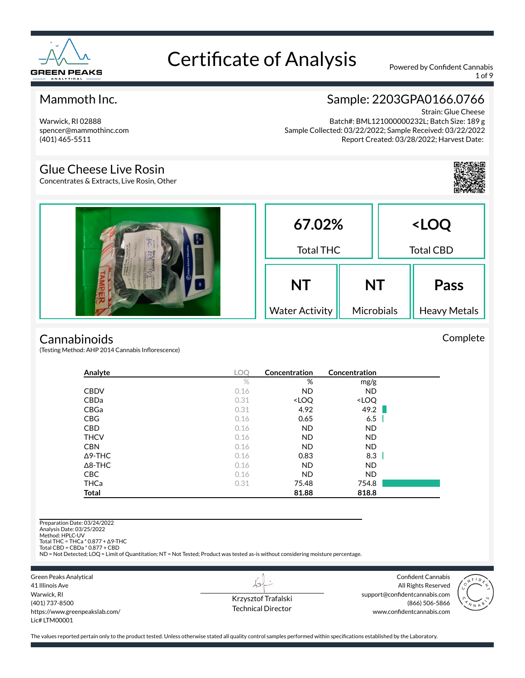

1 of 9

### Mammoth Inc.

Warwick, RI 02888 spencer@mammothinc.com (401) 465-5511

## Sample: 2203GPA0166.0766

Strain: Glue Cheese Batch#: BML121000000232L; Batch Size: 189 g Sample Collected: 03/22/2022; Sample Received: 03/22/2022 Report Created: 03/28/2022; Harvest Date:

### Glue Cheese Live Rosin

Concentrates & Extracts, Live Rosin, Other



Complete

| 16.28 | 67.02%<br><b>Total THC</b> |            | <loq<br><b>Total CBD</b></loq<br> |                     |
|-------|----------------------------|------------|-----------------------------------|---------------------|
|       | <b>NT</b>                  | <b>NT</b>  |                                   | <b>Pass</b>         |
|       | <b>Water Activity</b>      | Microbials |                                   | <b>Heavy Metals</b> |

#### **Cannabinoids**

(Testing Method: AHP 2014 Cannabis Inflorescence)

| Analyte        | <b>LOO</b> | Concentration                                            | Concentration                |  |
|----------------|------------|----------------------------------------------------------|------------------------------|--|
|                | $\%$       | %                                                        | mg/g                         |  |
| <b>CBDV</b>    | 0.16       | <b>ND</b>                                                | ND.                          |  |
| CBDa           | 0.31       | <loq< td=""><td><loq< td=""><td></td></loq<></td></loq<> | <loq< td=""><td></td></loq<> |  |
| CBGa           | 0.31       | 4.92                                                     | 49.2                         |  |
| <b>CBG</b>     | 0.16       | 0.65                                                     | 6.5                          |  |
| <b>CBD</b>     | 0.16       | <b>ND</b>                                                | <b>ND</b>                    |  |
| <b>THCV</b>    | 0.16       | <b>ND</b>                                                | ND.                          |  |
| <b>CBN</b>     | 0.16       | <b>ND</b>                                                | <b>ND</b>                    |  |
| $\Delta$ 9-THC | 0.16       | 0.83                                                     | 8.3                          |  |
| $\Delta$ 8-THC | 0.16       | <b>ND</b>                                                | ND.                          |  |
| <b>CBC</b>     | 0.16       | <b>ND</b>                                                | ND.                          |  |
| <b>THCa</b>    | 0.31       | 75.48                                                    | 754.8                        |  |
| <b>Total</b>   |            | 81.88                                                    | 818.8                        |  |

Preparation Date: 03/24/2022 Analysis Date: 03/25/2022 Method: HPLC-UV Total THC = THCa \* 0.877 + ∆9-THC Total CBD = CBDa \* 0.877 + CBD ND = Not Detected; LOQ = Limit of Quantitation; NT = Not Tested; Product was tested as-is without considering moisture percentage.

Green Peaks Analytical 41 Illinois Ave Warwick, RI (401) 737-8500 https://www.greenpeakslab.com/ Lic# LTM00001

Krzysztof Trafalski Technical Director

 $\overleftrightarrow{v}$ 

Confident Cannabis All Rights Reserved support@confidentcannabis.com (866) 506-5866 www.confidentcannabis.com

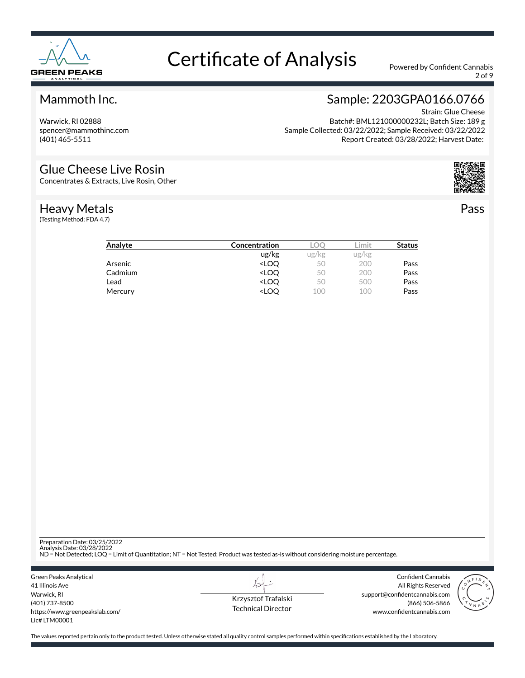

2 of 9

### Mammoth Inc.

Warwick, RI 02888 spencer@mammothinc.com (401) 465-5511

## Sample: 2203GPA0166.0766

Strain: Glue Cheese Batch#: BML121000000232L; Batch Size: 189 g Sample Collected: 03/22/2022; Sample Received: 03/22/2022 Report Created: 03/28/2022; Harvest Date:

#### Glue Cheese Live Rosin

Concentrates & Extracts, Live Rosin, Other

#### Heavy Metals

(Testing Method: FDA 4.7)



Pass

| Analyte | Concentration                                            |       | .imit | <b>Status</b> |
|---------|----------------------------------------------------------|-------|-------|---------------|
|         | ug/kg                                                    | ug/kg | ug/kg |               |
| Arsenic | <loo< th=""><td>50</td><td>200</td><td>Pass</td></loo<>  | 50    | 200   | Pass          |
| Cadmium | <loq< th=""><td>50</td><td>200</td><td>Pass</td></loq<>  | 50    | 200   | Pass          |
| Lead    | <loo< th=""><td>50</td><td>500</td><td>Pass</td></loo<>  | 50    | 500   | Pass          |
| Mercury | <loo< th=""><td>100</td><td>100</td><td>Pass</td></loo<> | 100   | 100   | Pass          |

Preparation Date: 03/25/2022

Analysis Date: 03/28/2022 ND = Not Detected; LOQ = Limit of Quantitation; NT = Not Tested; Product was tested as-is without considering moisture percentage.

Green Peaks Analytical 41 Illinois Ave Warwick, RI (401) 737-8500 https://www.greenpeakslab.com/ Lic# LTM00001

Krzysztof Trafalski Technical Director

 $\lambda\rightarrow$ 

Confident Cannabis All Rights Reserved support@confidentcannabis.com (866) 506-5866 www.confidentcannabis.com

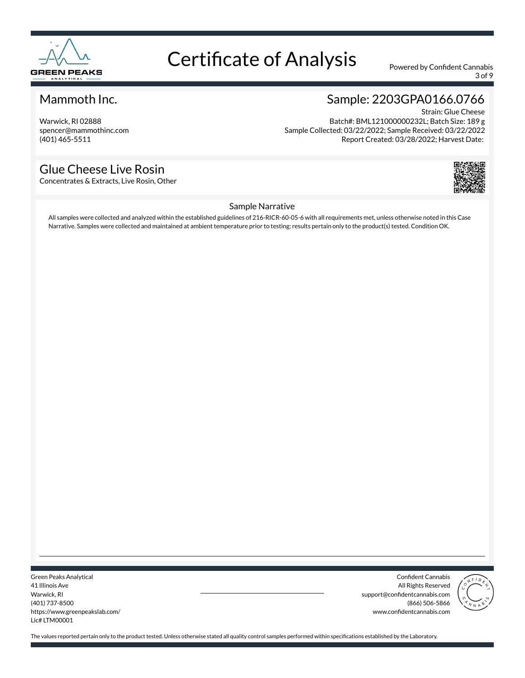

3 of 9

### Mammoth Inc.

Warwick, RI 02888 spencer@mammothinc.com (401) 465-5511

### Glue Cheese Live Rosin

Concentrates & Extracts, Live Rosin, Other

### Sample: 2203GPA0166.0766

Strain: Glue Cheese Batch#: BML121000000232L; Batch Size: 189 g Sample Collected: 03/22/2022; Sample Received: 03/22/2022 Report Created: 03/28/2022; Harvest Date:



#### Sample Narrative

All samples were collected and analyzed within the established guidelines of 216-RICR-60-05-6 with all requirements met, unless otherwise noted in this Case Narrative. Samples were collected and maintained at ambient temperature prior to testing; results pertain only to the product(s) tested. Condition OK.

Green Peaks Analytical 41 Illinois Ave Warwick, RI (401) 737-8500 https://www.greenpeakslab.com/ Lic# LTM00001

Confident Cannabis All Rights Reserved support@confidentcannabis.com (866) 506-5866 www.confidentcannabis.com

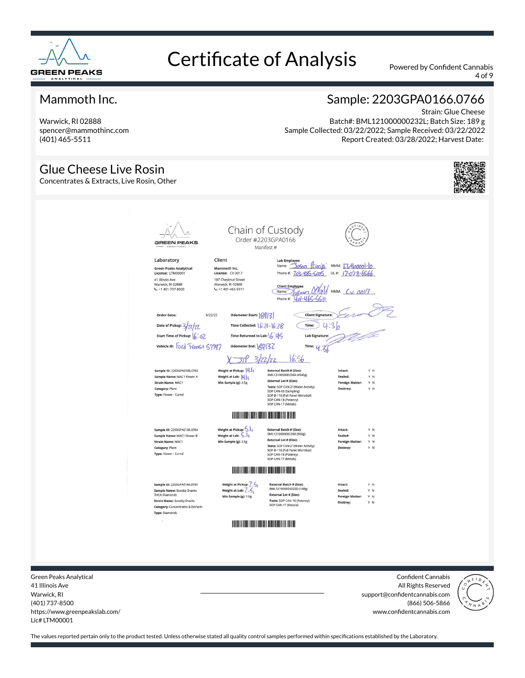

4 of 9

### Mammoth Inc.

Warwick, RI 02888 spencer@mammothinc.com (401) 465-5511

### Sample: 2203GPA0166.0766

Strain: Glue Cheese Batch#: BML121000000232L; Batch Size: 189 g Sample Collected: 03/22/2022; Sample Received: 03/22/2022 Report Created: 03/28/2022; Harvest Date:

#### Glue Cheese Live Rosin Concentrates & Extracts, Live Rosin, Other Chain of Custody Order #2203GPA0166 **GREEN PEAKS** Manifest # Laboratory Client Lab Employee<br>Name: <u>Socon (Cincip)</u> MMM: <u>IMpopopi-lo</u><br>Phone # 722,896 Cm6 N# 17-728 CCCL Green Peaks Analytical<br>License: LTM00001 Mammoth Inc. License: CV 0017 Phone #: 703-885-6005 DL#: 17-078-6566 41 Illinois Ave 187 Chestnut Street Warwick, RI 02888<br>Varwick, RI 02888 Warwick, RI 02888 Client Employee<br>Name: 10/10/1 MMM: CV 0017<br>Phone #: 401-465-5511 Order Date:  $3/22/22$ Odometer Start: 8913) **Client Signature** Date of Pickup: 3/71/77 Time Collected:  $16.21 - 16.28$ Time:  $24:36$ Start Time of Pickup: 6:02 Time Returned to Lab:  $645$ **Lab Signature** vehicle ID: Ford TVansit 57797 Odometer End: | 20132 Time:  $4.3$  $X - 318 3/22/22$  $16.56$ Sample ID: 2203GPA0166.0763 External Batch # (Size):<br>BML121000000226A (4540g) Neight at Pickup: **| 4.1** f Sample Name: MAC1 Flower A<br>Strain Name: MAC1 Weight at Lab:  $\|\boldsymbol{t}\|$ ,  $\|\boldsymbol{\varsigma}\|$ Sealed: Y N External Lot # (Size): Min Sample (g): 3.5g **Foreign Matter:** Y N External Lot # (Size):<br>Tests: SOP CAN-21(Water Activity)<br>SOP CAN-03 (Sampling)<br>SOP E-118 (Full Panel Microbial)<br>SOP CAN-18 (Potency)<br>SOP CAN-17 (Metals) Category: Plant Type: Flower - Cured **THE REAL PROPERTY OF PERSON** Sample ID: 2203GPA0166.0764 Weight at Pickup:  $\left\langle .|. \right\rangle$ External Batch # (Size):<br>BML121000000226B (900g) Intact Sample Name: MAC1 Flower B Weight at Lab:  $\overline{\mathsf{S}}$ .  $\overline{\mathsf{I}}$ Sealed: Y N External Lot # (Size): Strain Name: MAC1 Min Sample (g): 3.5g **Foreign Matter** Y N Tests: SOP CAN-21(Water Activity)<br>SOP B-118 (Full Panel Microbial) Category: Plant Type: Flower - Cured SOP CAN-18 (Potency)<br>SOP CAN-17 (Metals) **THE REAL PROPERTY OF PERSONS ASSESSED** Sample ID: 2203GPA0166,0765 Weight at Pickup: 7.5 External Batch # (Size):<br>BML121000000223D (108g) Intact Sample Name: Scooby Snacks<br>THCA Diamonds Weight at Lab:  $\langle \cdot, \cdot \rangle$ External Lot # (Size): Min Sample (g): 1.0g Foreign I YN **Strain Name: Scooby Snacks** Tests: SOP CAN-18 (Potency)<br>SOP CAN-17 (Metals) Category: Concentrates & Extracts Type: Diamonds **THE REAL PROPERTY OF STATE**

Green Peaks Analytical 41 Illinois Ave Warwick, RI (401) 737-8500 https://www.greenpeakslab.com/ Lic# LTM00001

Confident Cannabis All Rights Reserved support@confidentcannabis.com (866) 506-5866 www.confidentcannabis.com

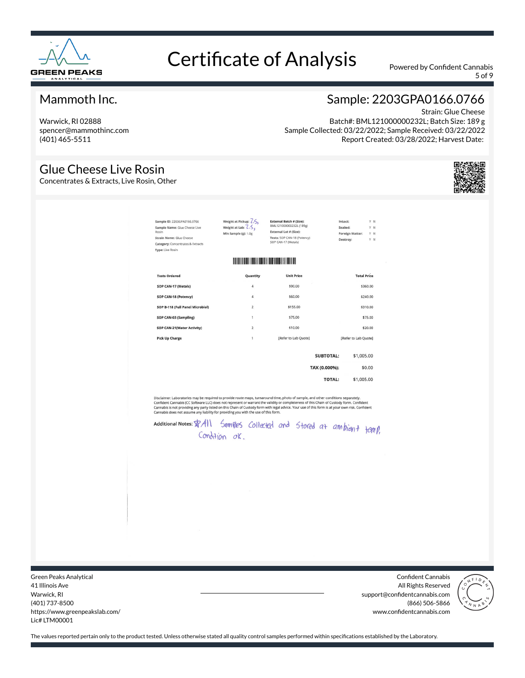

5 of 9

### Mammoth Inc.

Warwick, RI 02888 spencer@mammothinc.com (401) 465-5511

### Sample: 2203GPA0166.0766

Strain: Glue Cheese Batch#: BML121000000232L; Batch Size: 189 g Sample Collected: 03/22/2022; Sample Received: 03/22/2022 Report Created: 03/28/2022; Harvest Date:

### Glue Cheese Live Rosin

Concentrates & Extracts, Live Rosin, Other

Strain Categ Type:

| Sample ID: 2203GPA0166.0766<br>Sample Name: Glue Cheese Live<br>Rosin<br><b>Strain Name: Glue Cheese</b><br><b>Category:</b> Concentrates & Extracts<br><b>Type: Live Rosin</b> | Weight at Pickup: $Z.S.$<br>Weight at Lab: $2.5.$<br>Min Sample (g): 1.0g | BML121000000232L (189g)<br>External Lot # (Size):<br>Tests: SOP CAN-18 (Potency)<br>SOP CAN-17 (Metals) | Sealed:<br>Destroy: | Y N<br>Y N<br>Foreign Matter:<br>YN |
|---------------------------------------------------------------------------------------------------------------------------------------------------------------------------------|---------------------------------------------------------------------------|---------------------------------------------------------------------------------------------------------|---------------------|-------------------------------------|
|                                                                                                                                                                                 | <b>THE REAL PROPERTY AND REAL PROPERTY</b>                                |                                                                                                         |                     |                                     |
| <b>Tests Ordered</b>                                                                                                                                                            | Quantity                                                                  | <b>Unit Price</b>                                                                                       |                     | <b>Total Price</b>                  |
| SOP CAN-17 (Metals)                                                                                                                                                             | 4                                                                         | \$90.00                                                                                                 |                     | \$360.00                            |
| SOP CAN-18 (Potency)                                                                                                                                                            | $\overline{4}$                                                            | \$60.00                                                                                                 |                     | \$240.00                            |
| SOP B-118 (Full Panel Microbial)                                                                                                                                                | $\overline{2}$                                                            | \$155.00                                                                                                |                     | \$310,00                            |
| SOP CAN-03 (Sampling)                                                                                                                                                           | 1                                                                         | \$75.00                                                                                                 |                     | \$75.00                             |
| SOP CAN-21(Water Activity)                                                                                                                                                      | $\overline{2}$                                                            | \$10.00                                                                                                 |                     | \$20.00                             |
| <b>Pick Up Charge</b>                                                                                                                                                           | $\mathbf{1}$                                                              | [Refer to Lab Quote]                                                                                    |                     | [Refer to Lab Quote]                |
|                                                                                                                                                                                 |                                                                           |                                                                                                         | <b>SUBTOTAL:</b>    | \$1,005.00                          |
|                                                                                                                                                                                 |                                                                           |                                                                                                         | TAX (0.000%):       | \$0.00                              |
|                                                                                                                                                                                 |                                                                           |                                                                                                         | <b>TOTAL:</b>       | \$1,005.00                          |

Disclaimer: Laboratories may be required to provide route maps, turnaround time, photo of sample, and other conditions separately.<br>Confident Cannabis (CC Software LLC) does not represent or warrant the validity or complete

Additional Notes: \$7 All Samples Collected and Stored at ambient femp. Condition or

Green Peaks Analytical 41 Illinois Ave Warwick, RI (401) 737-8500 https://www.greenpeakslab.com/ Lic# LTM00001

Confident Cannabis All Rights Reserved support@confidentcannabis.com (866) 506-5866 www.confidentcannabis.com



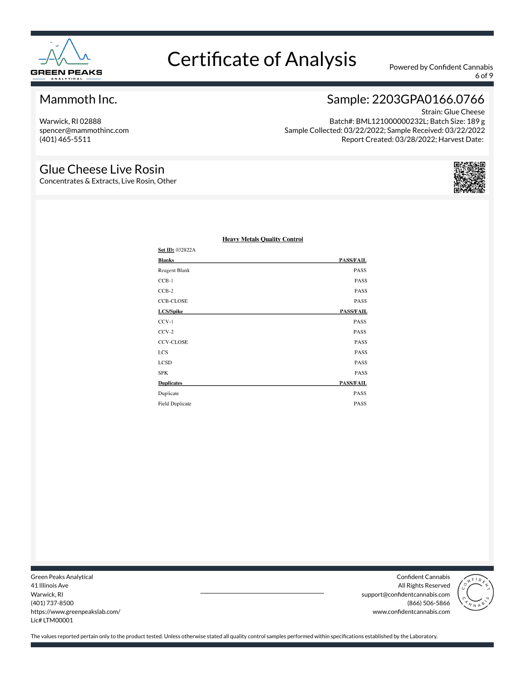

6 of 9

### Mammoth Inc.

Warwick, RI 02888 spencer@mammothinc.com (401) 465-5511

# Sample: 2203GPA0166.0766

Strain: Glue Cheese Batch#: BML121000000232L; Batch Size: 189 g Sample Collected: 03/22/2022; Sample Received: 03/22/2022 Report Created: 03/28/2022; Harvest Date:

#### Glue Cheese Live Rosin

Concentrates & Extracts, Live Rosin, Other



| <b>Set ID: 032822A</b> |                  |
|------------------------|------------------|
| Blanks                 | <b>PASS/FAIL</b> |
| Reagent Blank          | PASS             |
| $CCB-1$                | PASS             |
| $CCB-2$                | PASS             |
| <b>CCB-CLOSE</b>       | PASS             |
| LCS/Spike              | <b>PASS/FAIL</b> |
| $CCV-1$                | PASS             |
| $CCV-2$                | PASS             |
| <b>CCV-CLOSE</b>       | PASS             |
| <b>LCS</b>             | PASS             |
| <b>LCSD</b>            | PASS             |
| SPK                    | PASS             |
| <b>Duplicates</b>      | <b>PASS/FAIL</b> |
| Duplicate              | <b>PASS</b>      |
| <b>Field Duplicate</b> | <b>PASS</b>      |

#### **Heavy Metals Quality Control**

Green Peaks Analytical 41 Illinois Ave Warwick, RI (401) 737-8500 https://www.greenpeakslab.com/ Lic# LTM00001

Confident Cannabis All Rights Reserved support@confidentcannabis.com (866) 506-5866 www.confidentcannabis.com

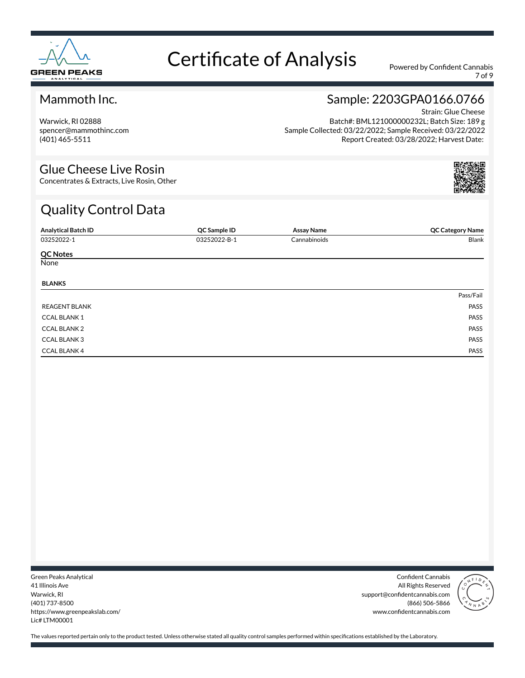

7 of 9

### Mammoth Inc.

Warwick, RI 02888 spencer@mammothinc.com (401) 465-5511

## Sample: 2203GPA0166.0766

Strain: Glue Cheese Batch#: BML121000000232L; Batch Size: 189 g Sample Collected: 03/22/2022; Sample Received: 03/22/2022 Report Created: 03/28/2022; Harvest Date:

### Glue Cheese Live Rosin

Concentrates & Extracts, Live Rosin, Other

# Quality Control Data

| <b>Analytical Batch ID</b> | QC Sample ID | <b>Assay Name</b> | <b>QC Category Name</b> |
|----------------------------|--------------|-------------------|-------------------------|
| 03252022-1                 | 03252022-B-1 | Cannabinoids      | Blank                   |
| <b>QC Notes</b>            |              |                   |                         |
| None                       |              |                   |                         |
| <b>BLANKS</b>              |              |                   |                         |
|                            |              |                   | Pass/Fail               |
| <b>REAGENT BLANK</b>       |              |                   | PASS                    |
| <b>CCAL BLANK1</b>         |              |                   | PASS                    |
| <b>CCAL BLANK 2</b>        |              |                   | PASS                    |
| <b>CCAL BLANK 3</b>        |              |                   | PASS                    |
| <b>CCAL BLANK 4</b>        |              |                   | PASS                    |

Green Peaks Analytical 41 Illinois Ave Warwick, RI (401) 737-8500 https://www.greenpeakslab.com/ Lic# LTM00001

Confident Cannabis All Rights Reserved support@confidentcannabis.com (866) 506-5866 www.confidentcannabis.com

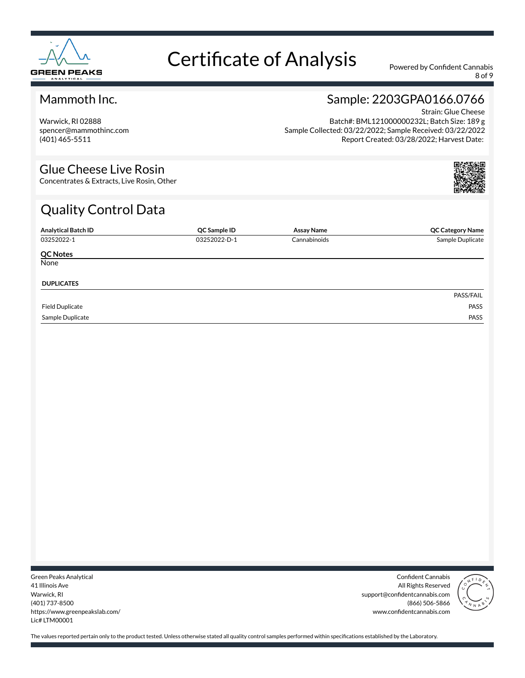

8 of 9

### Mammoth Inc.

Warwick, RI 02888 spencer@mammothinc.com (401) 465-5511

## Sample: 2203GPA0166.0766

Strain: Glue Cheese Batch#: BML121000000232L; Batch Size: 189 g Sample Collected: 03/22/2022; Sample Received: 03/22/2022 Report Created: 03/28/2022; Harvest Date:

### Glue Cheese Live Rosin

Concentrates & Extracts, Live Rosin, Other

# Quality Control Data

| <b>Analytical Batch ID</b> | QC Sample ID | Assay Name   | <b>QC Category Name</b> |
|----------------------------|--------------|--------------|-------------------------|
| 03252022-1                 | 03252022-D-1 | Cannabinoids | Sample Duplicate        |
| <b>QC Notes</b>            |              |              |                         |
| None                       |              |              |                         |
| <b>DUPLICATES</b>          |              |              |                         |
|                            |              |              | PASS/FAIL               |
| <b>Field Duplicate</b>     |              |              | PASS                    |
| Sample Duplicate           |              |              | PASS                    |

Green Peaks Analytical 41 Illinois Ave Warwick, RI (401) 737-8500 https://www.greenpeakslab.com/ Lic# LTM00001

Confident Cannabis All Rights Reserved support@confidentcannabis.com (866) 506-5866 www.confidentcannabis.com